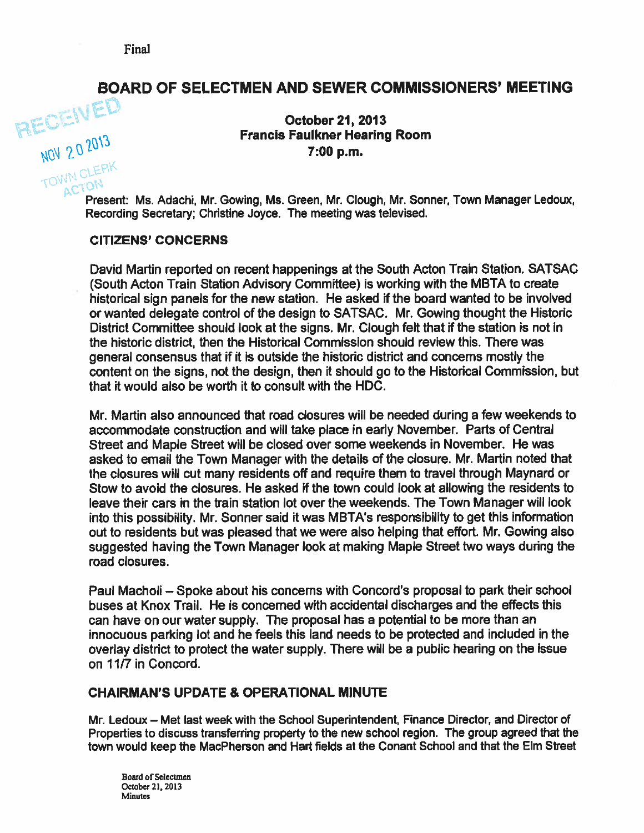# BOARD OF SELECTMEN AND SEWER COMMISSIONERS' MEETING

October 21, 2013<br>
Francis Faulkner Hearing Room  $MOV 20^{2013}$ <br> $TOVM OLEPK$ <br> $TOVM OLEPK$ 

ACTUN<br>Present: Ms. Adachi, Mr. Gowing, Ms. Green, Mr. Clough, Mr. Sonner, Town Manager Ledoux, Recording Secretary; Christine Joyce. The meeting was televised.

#### CITIZENS' CONCERNS

David Martin reported on recent happenings at the South Acton Train Station. SATSAC (South Acton Train Station Advisory Committee) is working with the MBTA to create historical sign panels for the new station. He asked if the board wanted to be involved or wanted delegate control of the design to SATSAC. Mr. Gowing thought the Historic District Committee should look at the signs. Mr. Clough felt that if the station is not in the historic district, then the Historical Commission should review this. There was general consensus that if it is outside the historic district and concerns mostly the content on the signs, not the design, then it should go to the Historical Commission, but that it would also be worth it to consult with the HDC.

Mr. Martin also announced that road closures will be needed during <sup>a</sup> few weekends to accommodate construction and will take place in early November. Parts of Central Street and Maple Street will be closed over some weekends in November. He was asked to email the Town Manager with the details of the closure. Mr. Martin noted that the closures will cut many residents off and require them to travel through Maynard or Stow to avoid the closures. He asked if the town could look at allowing the residents to leave their cars in the train station lot over the weekends. The Town Manager will look into this possibility. Mr. Sonner said it was MBTA's responsibility to ge<sup>t</sup> this information out to residents but was pleased that we were also helping that effort. Mr Gowing also suggested having the Town Manager look at making Maple Street two ways during the road closures.

Paul Macholi — Spoke about his concems with Concord's proposal to park their school buses at Knox Trail. He is concerned with accidental discharges and the effects this can have on our water supply. The proposal has <sup>a</sup> potential to be more than an innocuous parking lot and he feels this land needs to be protected and included in the overlay district to protect the water supply. There will be <sup>a</sup> public hearing on the issue on 11/7 in Concord.

#### CHAIRMAN'S UPDATE & OPERATIONAL MINUTE

Mr. Ledoux — Met last week with the School Superintendent, Finance Director, and Director of Properties to discuss transferring property to the new school region. The group agreed that the town would keep the MacPherson and Hart fields at the Conant School and that the Elm Street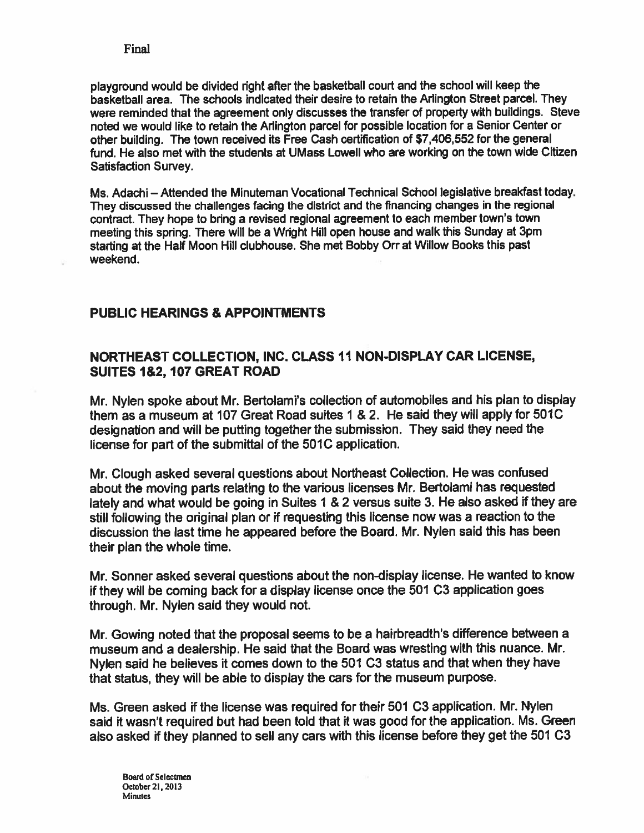<sup>p</sup>layground would be divided right after the basketball court and the school will keep the basketball area. The schools indicated their desire to retain the Arlington Street parcel. They were reminded that the agreemen<sup>t</sup> only discusses the transfer of property with buildings. Steve noted we would like to retain the Arlington parcel for possible location for <sup>a</sup> Senior Center or other building. The town received its Free Cash certification of \$7,406,552 for the general fund. He also met with the students at UMass Lowell who are working on the town wide Citizen Satisfaction Survey.

Ms. Adachi — Attended the Minuteman Vocational Technical School legislative breakfast today. They discussed the challenges facing the district and the financing changes in the regional contract. They hope to bring <sup>a</sup> revised regional agreemen<sup>t</sup> to each member town's town meeting this spring. There will be <sup>a</sup> Wright Hill open house and walk this Sunday at 3pm starting at the Half Moon Hill clubhouse. She met Bobby Orr at Willow Books this pas<sup>t</sup> weekend.

### PUBLIC HEARINGS & APPOINTMENTS

### NORTHEAST COLLECTION, INC. CLASS 11 NON-DISPLAY CAR LICENSE, SUITES 1&2, 107 GREAT ROAD

Mr. Nylen spoke about Mr. Bertolami's collection of automobiles and his <sup>p</sup>lan to display them as <sup>a</sup> museum at 107 Great Road suites I & 2. He said they will apply for 501C designation and will be putting together the submission. They said they need the license for part of the submittal of the 501C application.

Mr. Clough asked several questions about Northeast Collection. He was confused about the moving parts relating to the various licenses Mr. Bertolami has requested lately and what would be going in Suites <sup>1</sup> & <sup>2</sup> versus suite 3. He also asked if they are still following the original <sup>p</sup>lan or if requesting this license now was <sup>a</sup> reaction to the discussion the last time he appeare<sup>d</sup> before the Board. Mr. Nylen said this has been their plan the whole time.

Mr. Sonner asked several questions about the non-display license. He wanted to know if they will be coming back for <sup>a</sup> display license once the 501 C3 application goes through. Mr. Nylen said they would not.

Mr. Cowing noted that the proposa<sup>l</sup> seems to be <sup>a</sup> hairbreadth's difference between <sup>a</sup> museum and <sup>a</sup> dealership. He said that the Board was wresting with this nuance. Mr. Nylen said he believes it comes down to the <sup>501</sup> C3 status and that when they have that status, they will be able to display the cars for the museum purpose.

Ms. Green asked if the license was required for their 501 C3 application. Mr. Nylen said it wasn't required but had been told that it was good for the application. Ms. Green also asked if they <sup>p</sup>lanned to sell any cars with this license before they ge<sup>t</sup> the 501 C3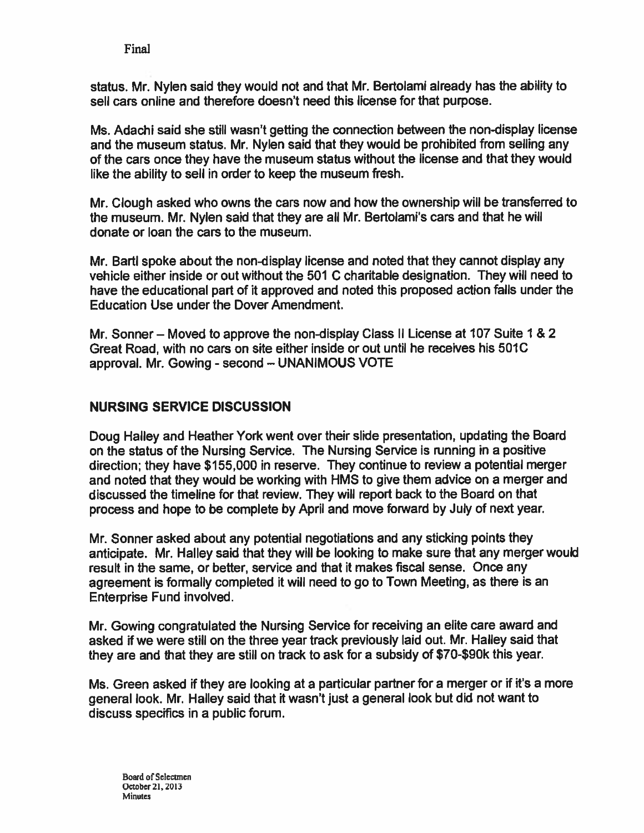status. Mr. Nylen said they would not and that Mr. Bertolami already has the ability to sell cars online and therefore doesn't need this license for that purpose.

Ms. Adachi said she still wasn't getting the connection between the non-display license and the museum status. Mr. Nylen said that they would be prohibited from selling any of the cars once they have the museum status without the license and that they would like the ability to sell in order to keep the museum fresh.

Mr. Clough asked who owns the cars now and how the ownership will be transferred to the museum. Mr. Nylen said that they are all Mr. Bertolami's cars and that he will donate or loan the cars to the museum.

Mr. Bartl spoke about the non-display license and noted that they cannot display any vehicle either inside or out without the 501 C charitable designation. They will need to have the educational par<sup>t</sup> of it approved and noted this proposed action falls under the Education Use under the Dover Amendment.

Mr. Sonner — Moved to approve the non-display Class II License at 107 Suite 1 & 2 Great Road, with no cars on site either inside or out until he receives his 501C approval. Mr. Gowing - second - UNANIMOUS VOTE

### NURSING SERVICE DISCUSSION

Doug Halley and Heather York went over their slide presentation, updating the Board on the status of the Nursing Service. The Nursing Service is running in <sup>a</sup> positive direction; they have \$155,000 in reserve. They continue to review <sup>a</sup> potential merger and noted that they would be working with HMS to give them advice on <sup>a</sup> merger and discussed the timeline for that review. They will repor<sup>t</sup> back to the Board on that process and hope to be complete by April and move forward by July of next year.

Mr. Sonner asked about any potential negotiations and any sticking points they anticipate. Mr. Halley said that they will be looking to make sure that any merger would result in the same, or better, service and that it makes fiscal sense. Once any agreemen<sup>t</sup> is formally completed it will need to go to Town Meeting, as there is an Enterprise Fund involved.

Mr. Gowing congratulated the Nursing Service for receiving an elite care award and asked if we were still on the three year track previously laid out. Mr. Halley said that they are and that they are still on track to ask for <sup>a</sup> subsidy of \$70-\$90k this year.

Ms. Green asked if they are looking at <sup>a</sup> particular partner for <sup>a</sup> merger or if it's <sup>a</sup> more general look. Mr. Halley said that it wasn't just <sup>a</sup> general look but did not want to discuss specifics in <sup>a</sup> public forum.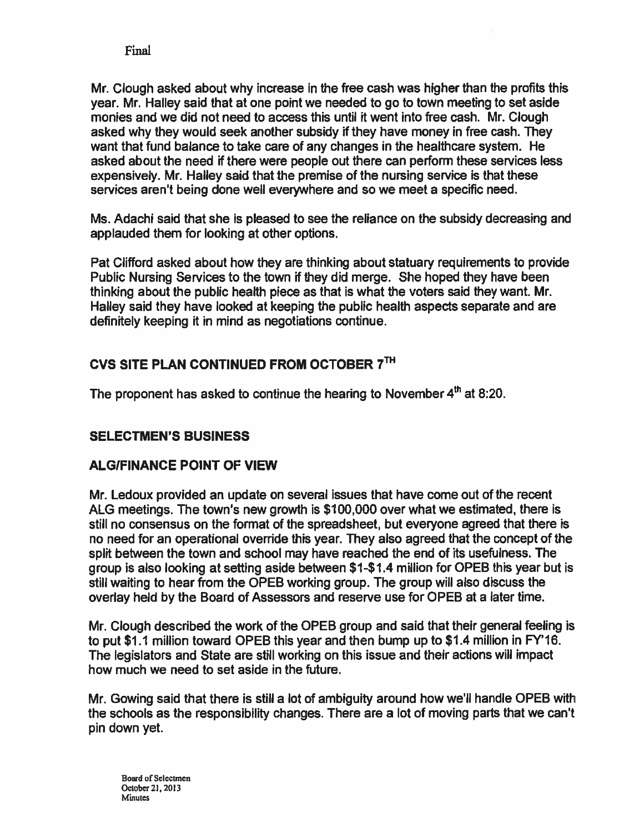Mr. Clough asked about why increase in the free cash was higher than the profits this year. Mr. Halley said that at one point we needed to go to town meeting to set aside monies and we did not need to access this until it went into free cash. Mr. Clough asked why they would seek another subsidy if they have money in free cash. They want that fund balance to take care of any changes in the healthcare system. He asked about the need if there were people out there can perform these services less expensively. Mr. Halley said that the premise of the nursing service is that these services aren't being done well everywhere and so we meet <sup>a</sup> specific need.

Ms. Adachi said that she is pleased to see the reliance on the subsidy decreasing and applauded them for looking at other options.

Pat Clifford asked about how they are thinking about statuary requirements to provide Public Nursing Services to the town if they did merge. She hoped they have been thinking about the public health piece as that is what the voters said they want. Mr. Halley said they have looked at keeping the public health aspects separate and are definitely keeping it in mind as negotiations continue.

## CVS SITE PLAN CONTINUED FROM OCTOBER 7TH

The proponent has asked to continue the hearing to November  $4<sup>th</sup>$  at 8:20.

### SELECTMEN'S BUSINESS

### ALGIFINANCE POINT OF VIEW

Mr. Ledoux provided an update on several issues that have come out of the recent ALG meetings. The town's new growth is \$100,000 over what we estimated, there is still no consensus on the format of the spreadsheet, but everyone agreed that there is no need for an operational override this year. They also agreed that the concep<sup>t</sup> of the split between the town and school may have reached the end of its usefulness. The group is also looking at setting aside between \$1-\$1.4 million for OPEB this year but is still waiting to hear from the OPEB working group. The group will also discuss the overlay held by the Board of Assessors and reserve use for OPEB at <sup>a</sup> later time.

Mr. Clough described the work of the OPEB group and said that their general feeling is to pu<sup>t</sup> \$1.1 million toward OPEB this year and then bump up to \$1.4 million in FY'16. The legislators and State are still working on this issue and their actions will impact how much we need to set aside in the future.

Mr. Gowing said that there is still <sup>a</sup> lot of ambiguity around how we'll handle OPEB with the schools as the responsibility changes. There are <sup>a</sup> lot of moving parts that we can't pin down yet.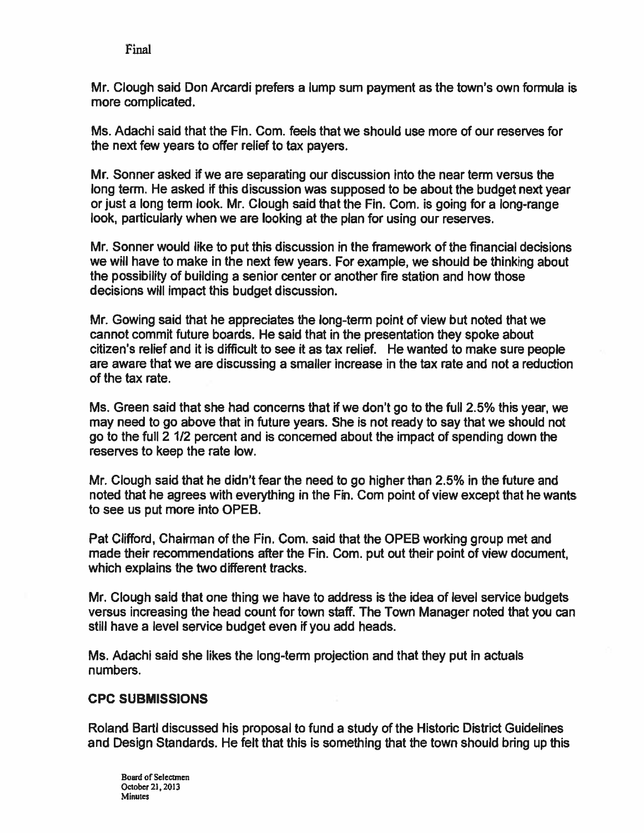Mr. Clough said Don Arcardi prefers a lump sum payment as the town's own formula is more complicated.

Ms. Adachi said that the Fin. Com. feels that we should use more of our reserves for the next few years to offer relief to tax payers.

Mr. Sonner asked if we are separating our discussion into the near term versus the long term. He asked if this discussion was supposed to be about the budget next year or just a long term look. Mr. Clough said that the Fin. Com. is going for a long-range look, particularly when we are looking at the plan for using our reserves.

Mr. Sonner would like to pu<sup>t</sup> this discussion in the framework of the financial decisions we will have to make in the next few years. For example, we should be thinking about the possibility of building <sup>a</sup> senior center or another fire station and how those decisions will impact this budget discussion.

Mr. Gowing said that he appreciates the long-term point of view but noted that we cannot cornmit future boards. He said that in the presentation they spoke about citizen's relief and it is difficult to see it as tax relief. He wanted to make sure people are aware that we are discussing <sup>a</sup> smaller increase in the tax rate and not <sup>a</sup> reduction of the tax rate.

Ms. Green said that she had concerns that if we don't go to the full 2.5% this year, we may need to go above that in future years. She is not ready to say that we should not go to the full 2 1/2 percen<sup>t</sup> and is concerned about the impact of spending down the reserves to keep the rate low.

Mr. Clough said that he didn't fear the need to go higher than 2.5% in the future and noted that he agrees with everything in the Fin. Com point of view excep<sup>t</sup> that he wants to see us pu<sup>t</sup> more into OPEB.

Pat Clifford, Chairman of the Fin. Com. said that the OPEB working group met and made their recommendations after the Fin. Com. pu<sup>t</sup> out their point of view document, which explains the two different tracks.

Mr. Clough said that one thing we have to address is the idea of level service budgets versus increasing the head count for town staff. The Town Manager noted that you can still have <sup>a</sup> level service budget even if you add heads.

Ms. Adachi said she likes the long-term projection and that they put in actuals numbers.

### CPC SUBMISSIONS

Roland Bartl discussed his proposal to fund <sup>a</sup> study of the Historic District Guidelines and Design Standards. He felt that this is sornething that the town should bring up this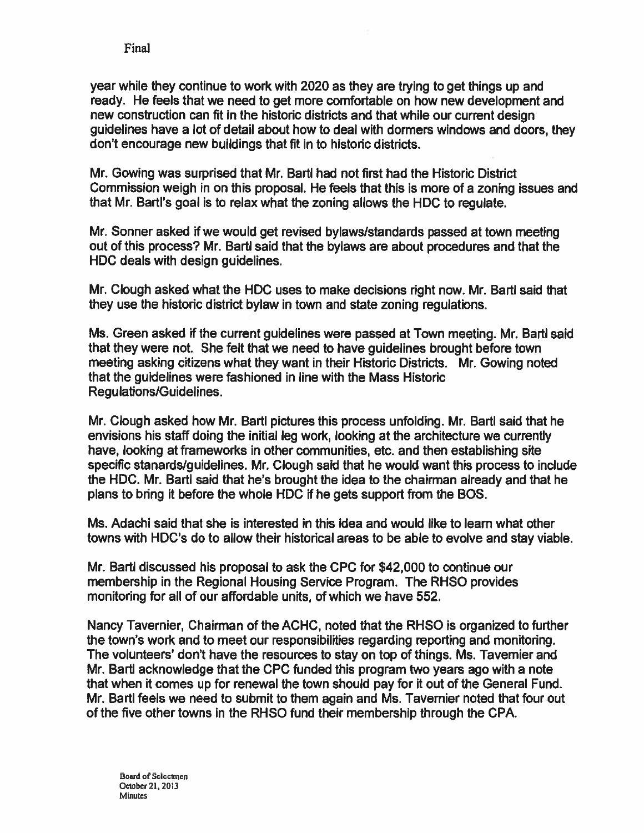year while they continue to work with 2020 as they are trying to ge<sup>t</sup> things up and ready. He feels that we need to ge<sup>t</sup> more comfortable on how new development and new construction can fit in the historic districts and that while our current design guidelines have <sup>a</sup> lot of detail about how to deal with dormers windows and doors, they don't encourage new buildings that fit in to historic districts.

Mr. Gowing was surprised that Mr. Bartl had not first had the Historic District Commission weigh in on this proposal. He feels that this is more of <sup>a</sup> zoning issues and that Mr. Bartl's goal is to relax what the zoning allows the HDC to regulate.

Mr. Sonner asked if we would ge<sup>t</sup> revised bylaws/standards passed at town meeting out of this process? Mr. Bartl said that the bylaws are about procedures and that the HDC deals with design guidelines.

Mr. Clough asked what the HDC uses to make decisions right now. Mr. Bartl said that they use the historic district bylaw in town and state zoning regulations.

Ms. Green asked if the current guidelines were passed at Town meeting. Mr. Bartl said that they were not. She felt that we need to have guidelines brought before town meeting asking citizens what they want in their Historic Districts. Mr. Gowing noted that the guidelines were fashioned in line with the Mass Historic Regulations/Guidelines.

Mr. Clough asked how Mr. Bartl pictures this process unfolding. Mr. Bartl said that he envisions his staff doing the initial leg work, looking at the architecture we currently have, looking at frameworks in other communities, etc. and then establishing site specific stanards/guidelines. Mr. Clough said that he would want this process to include the HDC. Mr. Bartl said that he's brought the idea to the chairman already and that he plans to bring it before the whole HDC if he gets suppor<sup>t</sup> from the BOS.

Ms. Adachi said that she is interested in this idea and would like to learn what other towns with HDC's do to allow their historical areas to be able to evolve and stay viable.

Mr. Barti discussed his proposal to ask the CPC for \$42,000 to continue our membership in the Regional Housing Service Program. The RHSO provides monitoring for all of our affordable units, of which we have 552.

Nancy Tavernier, Chairman of the ACHC, noted that the RHSO is organized to further the town's work and to meet our responsibilities regarding reporting and monitoring. The volunteers' don't have the resources to stay on top of things. Ms. Tavernier and Mr. Bart acknowledge that the CPC funded this program two years ago with a note that when it comes up for renewal the town should pay for it out of the General Fund. Mr. Bartl feels we need to submit to them again and Ms. Tavernier noted that four out of the five other towns in the RHSO fund their membership through the CPA.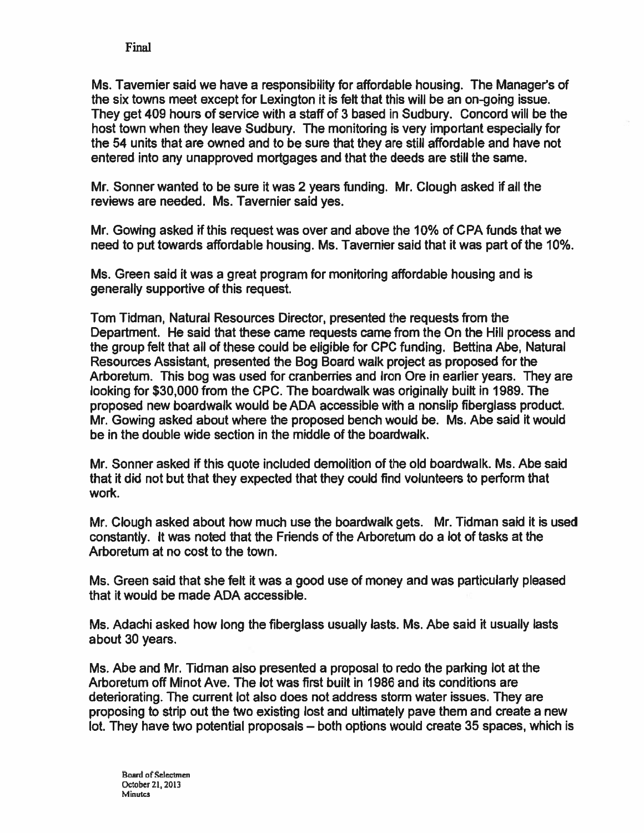Ms. Tavernier said we have <sup>a</sup> responsibility for affordable housing. The Manager's of the six towns meet excep<sup>t</sup> for Lexington it is felt that this will be an on-going issue. They ge<sup>t</sup> 409 hours of service with <sup>a</sup> staff of 3 based in Sudbury. Concord will be the host town when they leave Sudbury. The monitoring is very important especially for the 54 units that are owned and to be sure that they are still affordable and have not entered into any unapproved mortgages and that the deeds are still the same.

Mr. Sonner wanted to be sure it was 2 years funding. Mr. Clough asked if all the reviews are needed. Ms. Tavernier said yes.

Mr. Cowing asked if this reques<sup>t</sup> was over and above the 10% of CPA funds that we need to pu<sup>t</sup> towards affordable housing. Ms. Tavernier said that it was par<sup>t</sup> of the 10%.

Ms. Green said it was <sup>a</sup> grea<sup>t</sup> program for monitoring affordable housing and is generally supportive of this request.

Tom Tidman, Natural Resources Director, presented the requests from the Department. He said that these came requests came from the On the Hill process and the group felt that all of these could be eligible for CPC funding. Bettina Abe, Natural Resources Assistant, presented the Bog Board walk project as proposed for the Arboretum. This bog was used for cranberries and Iron Ore in earlier years. They are looking for \$30,000 from the CPC. The boardwalk was originally built in 1989. The proposed new boardwalk would be ADA accessible with <sup>a</sup> nonslip fiberglass product. Mr. Cowing asked about where the proposed bench would be. Ms. Abe said it would be in the double wide section in the middle of the boardwalk.

Mr. Sonner asked if this quote included demolition of the old boardwalk. Ms. Abe said that it did not but that they expected that they could find volunteers to perform that work.

Mr. Clough asked about how much use the boardwalk gets. Mr. Tidman said it is used constantly. It was noted that the Friends of the Arboretum do <sup>a</sup> lot of tasks at the Arboretum at no cost to the town.

Ms. Green said that she felt it was a good use of money and was particularly pleased that it would be made ADA accessible.

Ms. Adachi asked how long the fiberglass usually lasts. Ms. Abe said it usually lasts about 30 years.

Ms. Abe and Mr. Tidman also presented <sup>a</sup> proposal to redo the parking lot at the Arboretum off Minot Ave. The lot was first built in 1986 and its conditions are deteriorating. The current lot also does not address storm water issues. They are proposing to strip out the two existing lost and ultimately pave them and create <sup>a</sup> new lot. They have two potential proposals — both options would create 35 spaces, which is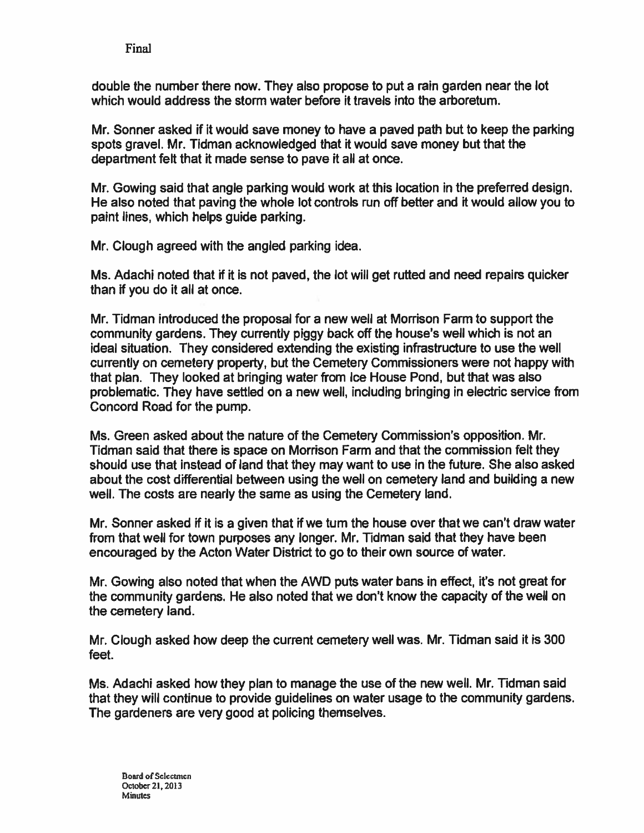double the number there now. They also propose to pu<sup>t</sup> <sup>a</sup> rain garden near the lot which would address the storm water before it travels into the arboretum.

Mr. Sonner asked if it would save money to have <sup>a</sup> paved path but to keep the parking spots gravel. Mr. Tidman acknowledged that it would save money but that the department felt that it made sense to pave it all at once.

Mr. Gowing said that angle parking would work at this location in the preferred design. He also noted that paving the whole lot controls run off better and it would allow you to paint lines, which helps guide parking.

Mr. Clough agreed with the angled parking idea.

Ms. Adachi noted that if it is not paved, the lot will ge<sup>t</sup> rutted and need repairs quicker than if you do it all at once.

Mr. Tidman introduced the proposal for <sup>a</sup> new well at Morrison Farm to suppor<sup>t</sup> the community gardens. They currently piggy back off the house's well which is not an ideal situation. They considered extending the existing infrastructure to use the well currently on cemetery property, but the Cemetery Commissioners were not happy with that plan. They looked at bringing water from Ice House Pond, but that was also problematic. They have settled on <sup>a</sup> new well, including bringing in electric service from Concord Road for the pump.

Ms. Green asked about the nature of the Cemetery Commission's opposition. Mr. Tidman said that there is space on Morrison Farm and that the commission felt they should use that instead of land that they may want to use in the future. She also asked about the cost differential between using the well on cemetery land and building <sup>a</sup> new well. The costs are nearly the same as using the Cemetery land.

Mr. Sonner asked if it is <sup>a</sup> given that if we turn the house over that we can't draw water from that well for town purposes any longer. Mr. Tidman said that they have been encouraged by the Acton Water District to go to their own source of water.

Mr. Gowing also noted that when the AWD puts water bans in effect, it's not grea<sup>t</sup> for the community gardens. He also noted that we don't know the capacity of the well on the cemetery land.

Mr. Clough asked how deep the current cemetery well was. Mr. Tidman said it is 300 feet.

Ms. Adachi asked how they plan to manage the use of the new well. Mr. Tidman said that they will continue to provide guidelines on water usage to the community gardens. The gardeners are very good at policing themselves.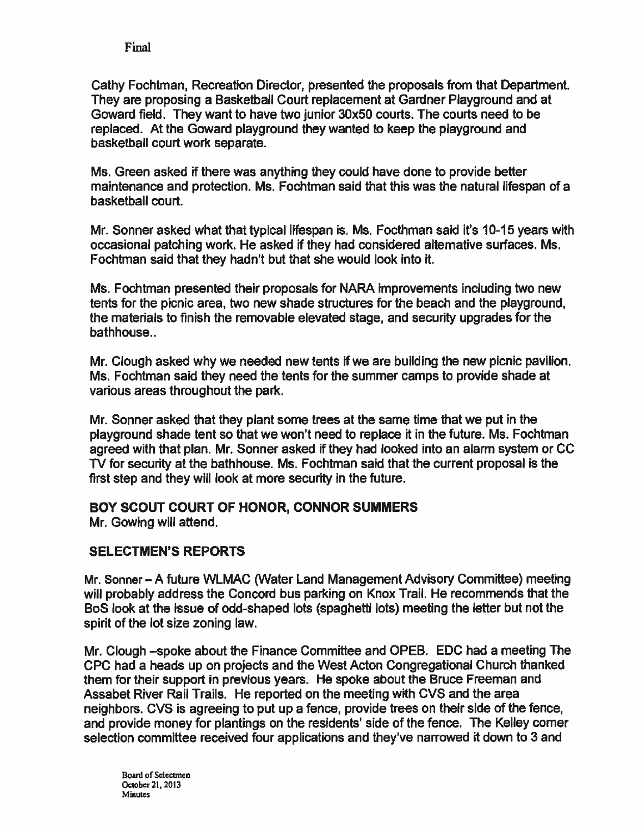Cathy Fochtman, Recreation Director, presented the proposals from that Department. They are proposing <sup>a</sup> Basketball Court replacement at Gardner Playground and at Goward field. They want to have two junior 30x50 courts. The courts need to be replaced. At the Goward playground they wanted to keep the playground and basketball court work separate.

Ms. Green asked if there was anything they could have done to provide better maintenance and protection. Ms. Fochtman said that this was the natural lifespan of <sup>a</sup> basketball court.

Mr. Sonner asked what that typical lifespan is. Ms. Focthman said it's 10-15 years with occasional patching work. He asked if they had considered alternative surfaces. Ms. Fochtman said that they hadn't but that she would look into it.

Ms. Fochtman presented their proposals for NARA improvements including two new tents for the picnic area, two new shade structures for the beach and the playground, the materials to finish the removable elevated stage, and security upgrades for the bathhouse..

Mr. Clough asked why we needed new tents if we are building the new picnic pavilion. Ms. Fochtman said they need the tents for the summer camps to provide shade at various areas throughout the park.

Mr. Sonner asked that they plant some trees at the same time that we pu<sup>t</sup> in the playground shade tent so that we won't need to replace it in the future. Ms. Fochtman agreed with that plan. Mr. Sonner asked if they had looked into an alarm system or CC TV for security at the bathhouse. Ms. Fochtman said that the current proposal is the first step and they will look at more security in the future.

BOY SCOUT COURT OF HONOR, CONNOR SUMMERS Mr. Cowing will attend.

### SELECTMEN'S REPORTS

Mr. Sonner — A future WLMAC (Water Land Management Advisory Committee) meeting will probably address the Concord bus parking on Knox Trail. He recommends that the BoS look at the issue of odd-shaped lots (spaghetti lots) meeting the letter but not the spirit of the lot size zoning law.

Mr. Clough —spoke about the Finance Committee and OPEB. EDC had <sup>a</sup> meeting The CPC had <sup>a</sup> heads up on projects and the West Acton Congregational Church thanked them for their suppor<sup>t</sup> in previous years. He spoke about the Bruce Freeman and Assabet River Rail Trails. He reported on the meeting with CVS and the area neighbors. CVS is agreeing to pu<sup>t</sup> up <sup>a</sup> fence, provide trees on their side of the fence, and provide money for plantings on the residents' side of the fence. The Kelley corner selection committee received four applications and they've narrowed it down to 3 and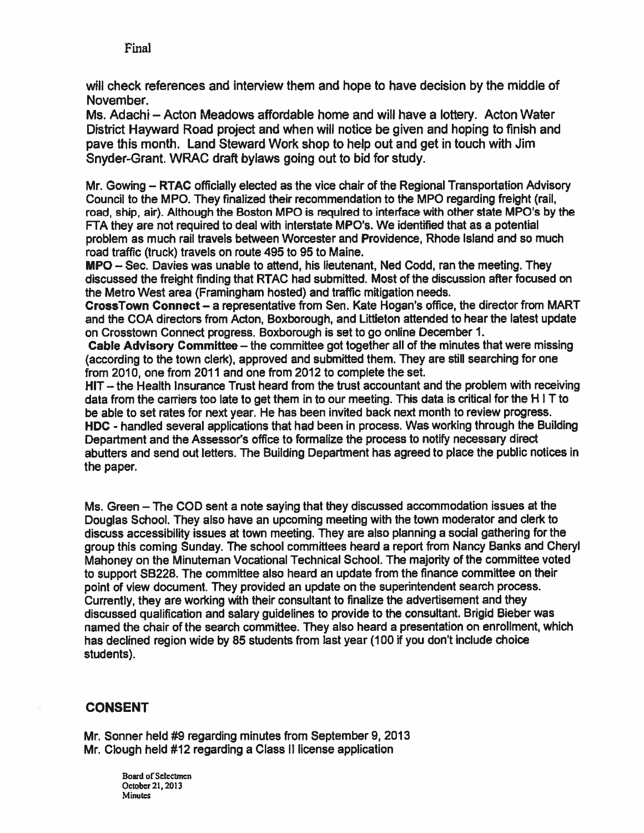will check references and interview them and hope to have decision by the middle of November.

Ms. Adachi — Acton Meadows affordable home and will have <sup>a</sup> lottery. Acton Water District Hayward Road project and when will notice be given and hoping to finish and pave this month. Land Steward Work shop to help out and ge<sup>t</sup> in touch with Jim Snyder-Grant. WRAC draft bylaws going out to bid for study.

Mr. Gowing — RTAC officially elected as the vice chair of the Regional Transportation Advisory Council to the MPO. They finalized their recommendation to the MPO regarding freight (rail, road, ship, air). Although the Boston MPO is required to interface with other state MPO's by the FA they are not required to deal with interstate MPO's. We identified that as <sup>a</sup> potential problem as much rail travels between Worcester and Providence, Rhode Island and so much road traffic (truck) travels on route 495 to 95 to Maine.

MPG — Sec. Davies was unable to attend, his lieutenant, Ned Codd, ran the meeting. They discussed the freight finding that RTAC had submitted. Most of the discussion after focused on the Metro West area (Framingham hosted) and traffic mitigation needs.

CrossTown Connect — <sup>a</sup> representative from Sen. Kate Hogan's office, the director from MART and the COA directors from Acton, Boxborough, and Littleton attended to hear the latest update on Crosstown Connect progress. Boxborough is set to go online December 1.

Cable Advisory Committee — the committee go<sup>t</sup> together all of the minutes that were missing (according to the town clerk), approved and submitted them. They are still searching for one from 2010, one from 2011 and one from 2012 to complete the set.

HIT — the Health Insurance Trust heard from the trust accountant and the problem with receiving data from the carriers too late to ge<sup>t</sup> them in to our meeting. This data is critical for the <sup>H</sup> <sup>I</sup> <sup>T</sup> to be able to set rates for next year. He has been invited back next month to review progress. HDC - handled several applications that had been in process. Was working through the Building Department and the Assessor's office to formalize the process to notify necessary direct abutters and send out letters. The Building Department has agreed to place the public notices in the paper.

Ms. Green — The COD sent <sup>a</sup> note saying that they discussed accommodation issues at the Douglas School. They also have an upcoming meeting with the town moderator and clerk to discuss accessibility issues at town meeting. They are also planning <sup>a</sup> social gathering for the group this coming Sunday. The school committees heard <sup>a</sup> repor<sup>t</sup> from Nancy Banks and Cheryl Mahoney on the Minuteman Vocational Technical School. The majority of the committee voted to suppor<sup>t</sup> 38226. The committee also heard an update from the finance committee on their point of view document. They provided an update on the superintendent search process. Currently, they are working with their consultant to finalize the advertisement and they discussed qualification and salary guidelines to provide to the consultant. Brigid Bieber was named the chair of the search committee. They also heard <sup>a</sup> presentation on enrollment, which has declined region wide by 85 students from last year (100 if you don't include choice students).

### CONSENT

Mr. Sonner held #9 regarding minutes from September 9, 2013 Mr. Clough held #12 regarding <sup>a</sup> Class II license application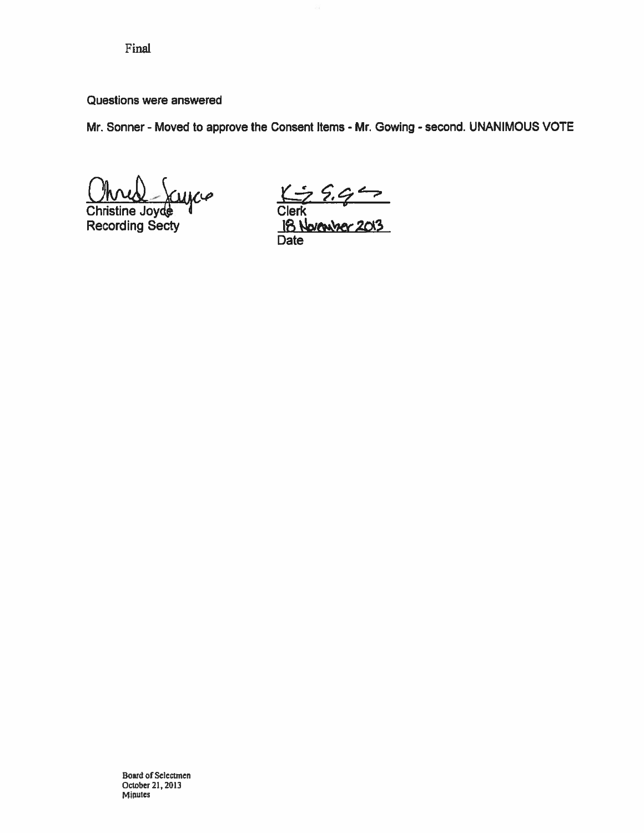#### Questions were answered

Mr. Sonner - Moved to approve the Consent Items - Mr. Gowing - second. UNANIMOUS VOTE Final<br>
Questions were answered<br>
Mr. Sonner - Moved to approve the Consent Items - Mr. Go<br>
Ohned -  $\chi_{UMC}$   $\chi_{UCD}$ 

Christine Joyde

Recording Secty **IB November 2013** Date

Board of Selectmen October 21,2013 Minutes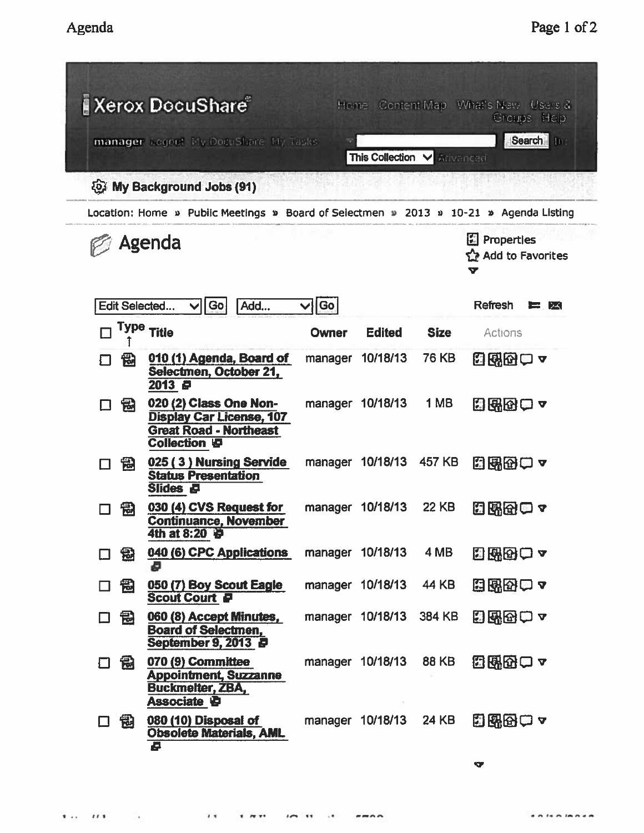|               | <b>Xerox DocuShare</b>                                                                                            |                                         |                  |               | Home Content Map What's New Users &<br>Groups Help |  |
|---------------|-------------------------------------------------------------------------------------------------------------------|-----------------------------------------|------------------|---------------|----------------------------------------------------|--|
|               | manager Logout My DocuShare My Tasks                                                                              | Search In<br>This Collection V Advanced |                  |               |                                                    |  |
|               | <b>Q. My Background Jobs (91)</b>                                                                                 |                                         |                  |               |                                                    |  |
|               | Location: Home » Public Meetings » Board of Selectmen » 2013 » 10-21 » Agenda Listing                             |                                         |                  |               |                                                    |  |
| Agenda        | <b>图 Properties</b><br>Add to Favorites<br>V                                                                      |                                         |                  |               |                                                    |  |
| Edit Selected | Go<br>Add                                                                                                         | Go                                      |                  |               | Refresh<br>$ \lambda\lambda $<br>a material di     |  |
|               | Type Title                                                                                                        | <b>Owner</b>                            | <b>Edited</b>    | <b>Size</b>   | Actions                                            |  |
| 憫             | 010 (1) Agenda, Board of<br>Selectmen, October 21,<br>2013 @                                                      | manager                                 | 10/18/13         | 76 KB         | 8熙凶甲 7                                             |  |
| 闱             | 020 (2) Class One Non-<br><b>Display Car License, 107</b><br><b>Great Road - Northeast</b><br><b>Collection 日</b> |                                         | manager 10/18/13 | 1 MB          | 日出田口~                                              |  |
| 冠             | 025 (3) Nursing Servide<br><b>Status Presentation</b><br>Slides &                                                 |                                         | manager 10/18/13 | 457 KB        | 国路图□~                                              |  |
| 岡             | 030 (4) CVS Request for<br><b>Continuance, November</b><br>4th at 8:20                                            |                                         | manager 10/18/13 | <b>22 KB</b>  | 日界色中~                                              |  |
| 懰<br>$\Box$   | 040 (6) CPC Applications<br>Ð                                                                                     |                                         | manager 10/18/13 | 4 MB          | 日昭田一~                                              |  |
| 鼍<br>□        | 050 (7) Boy Scout Eagle<br><b>Scout Court P</b>                                                                   |                                         | manager 10/18/13 | <b>44 KB</b>  | 白蛾母甲~                                              |  |
| 邑<br>$\Box$   | 060 (8) Accept Minutes,<br><b>Board of Selectmen,</b><br>September 9, 2013 P                                      |                                         | manager 10/18/13 | <b>384 KB</b> | 日昭図ロー                                              |  |
| 囹<br>□        | 070 (9) Committee<br><b>Appointment, Suzzanne</b><br><b>Buckmelter, ZBA,</b><br>Associate <i>心</i>                |                                         | manager 10/18/13 | <b>88 KB</b>  | 電磁のロー                                              |  |
| 囹<br>□        | 080 (10) Disposal of<br><b>Obsolete Materials, AML</b><br>Ø                                                       |                                         | manager 10/18/13 | 24 KB         | 日曜田一~                                              |  |
|               |                                                                                                                   |                                         |                  |               | <b>V</b>                                           |  |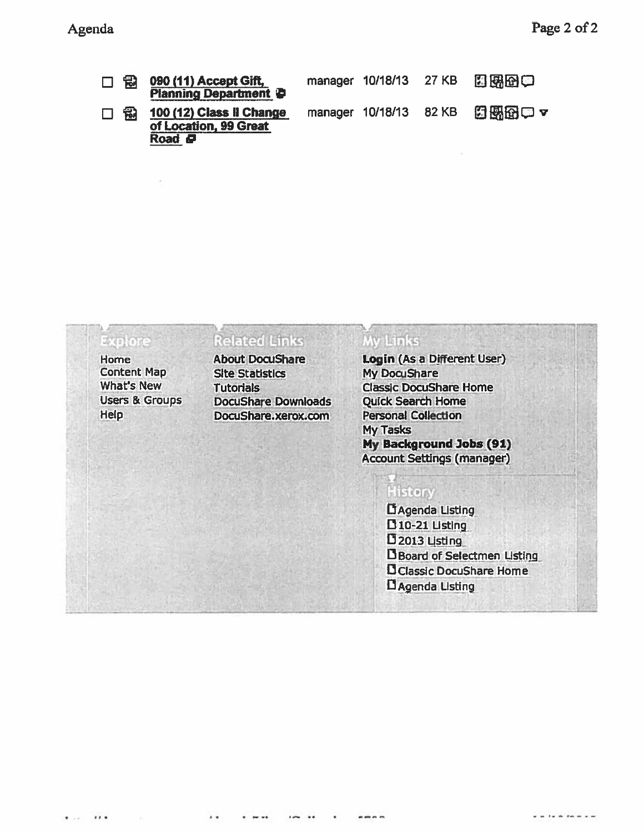| 口骨 | 090 (11) Accept Gift,<br><b>Planning Department @</b>              |  | manager 10/18/13 27 KB 四國的員  |
|----|--------------------------------------------------------------------|--|------------------------------|
| 口骨 | 100 (12) Class II Change<br>of Location, 99 Great<br>Road <b>P</b> |  | manager 10/18/13 82 KB 图图图 ▽ |

#### $7794820$ Explore

Home Content Map What's New Users & Groups Help

### **Related Links**

Site Statistics My DocuShare DocuShare Downloads Quick Search Home DocuShare.xerox.com Personal Collection

### My Links

About DocuShare Login (As <sup>a</sup> Different User) Tutorials Classic DocuShare Home My Tasks My Background Jobs (91) Account Settings (manager)

### **History**

DAgenda Listing  $D$ 10-21 Listing  $D$  2013 Listing **D** Board of Selectmen Listing OClassic Docushare Home DAgenda UstIng\_\_\_\_\_\_\_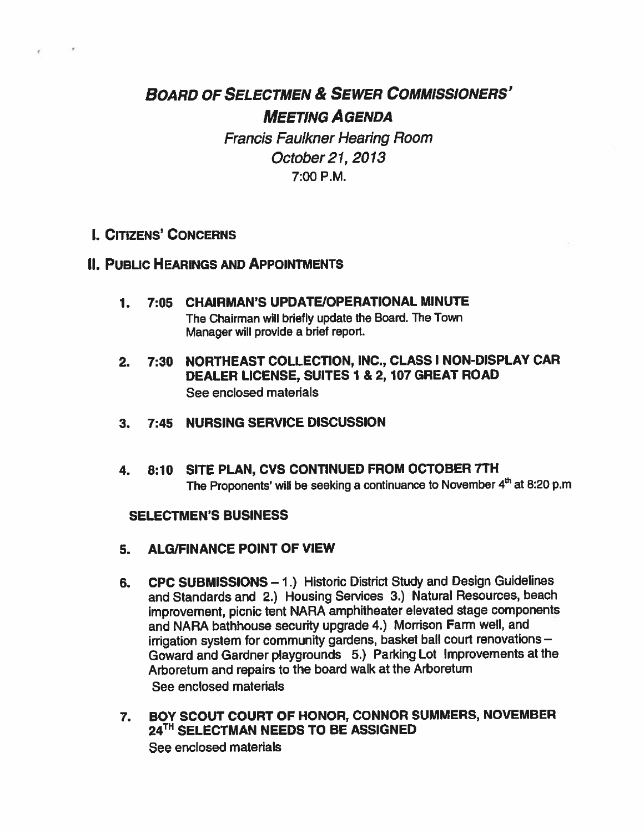# BOARD OF SELECTMEN & SEWER COMMISSIONERS' MEETING AGENDA

Francis Faulkner Hearing Room October 21, 2013 7:00 P.M.

### I. CITIZENS' CONCERNS

### II. PUBLIC HEARINGS AND APPOINTMENTS

- 1. 7:05 CHAIRMAN'S UPDATE/OPERATIONAL MINUTE The Chairman will briefly update the Board. The Town Manager will provide <sup>a</sup> brief report.
- 2. 7:30 NORTHEAST COLLECTION, INC., CLASS I NON-DISPLAY CAR DEALER LICENSE, SUITES 1 & 2, 107 GREAT ROAD See enclosed materials
- 3. 7:45 NURSING SERVICE DISCUSSION
- 4. 8:10 SITE PLAN, CVS CONTINUED FROM OCTOBER 7TH The Proponents' will be seeking a continuance to November  $4<sup>th</sup>$  at 8:20 p.m

#### SELECTMEN'S BUSINESS

- 5. ALG/FINANCE POINT OF VIEW
- 6. CPC SUBMISSIONS 1.) Historic District Study and Design Guidelines and Standards and 2.) Housing Services 3.) Natural Resources, beach improvement, <sup>p</sup>icnic tent NARA amphitheater elevated stage components and NARA bathhouse security upgrade 4.) Morrison Farm well, and irrigation system for community gardens, basket ball court renovations — Goward and Gardner <sup>p</sup>laygrounds 5.) Parking Lot Improvements at the Arboretum and repairs to the board walk at the Arboretum See enclosed materials
- 7. BOY SCOUT COURT OF HONOR, CONNOR SUMMERS, NOVEMBER 24<sup>TH</sup> SELECTMAN NEEDS TO BE ASSIGNED See enclosed materials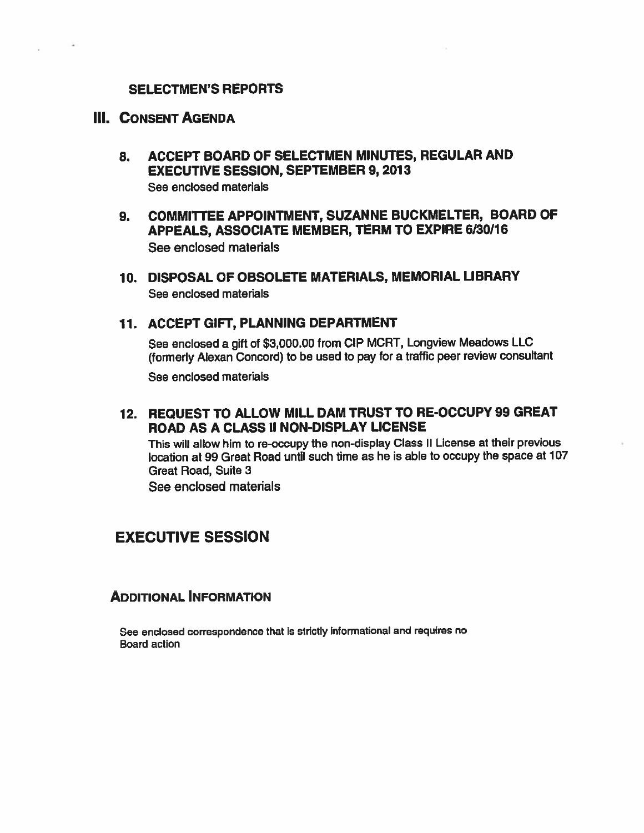#### SELECTMEN'S REPORTS

#### III. CONSENT AGENDA

- 8. ACCEPT BOARD OF SELECTMEN MINUTES, REGULAR AND EXECUTIVE SESSION, SEPTEMBER 9,2013 See enclosed materials
- 9. COMMITTEE APPOINTMENT, SUZANNE BUCKMELTER, BOARD OF APPEALS, ASSOCIATE MEMBER, TERM TO EXPIRE 6/30/16 See enclosed materials
- 10. DISPOSAL OF OBSOLETE MATERIALS, MEMORIAL LIBRARY See enclosed materials

#### 11. ACCEPT GIFT, PLANNING DEPARTMENT

See enclosed <sup>a</sup> <sup>g</sup>ift of \$3,000.00 from CIP MCRT, Longview Meadows LLC (formerly Alexan Concord) to be used to pay for <sup>a</sup> traffic peer review consultant

See enclosed materials

12. REQUEST TO ALLOW MILL DAM TRUST TO RE-OCCUPY 99 GREAT ROAD AS A CLASS II NON-DISPLAY LICENSE

This will allow him to re-occupy the non-display Class II License at their previous location at 99 Great Road until such time as he is able to occupy the space at 107 Great Road, Suite 3

See enclosed materials

### EXECUTIVE SESSION

#### ADDITIONAL INFORMATION

See enclosed correspondence that is strictly informational and requires no Board action